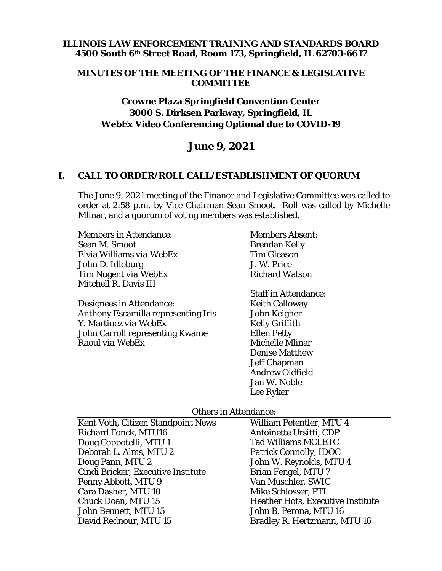### **ILLINOIS LAW ENFORCEMENT TRAINING AND STANDARDS BOARD 4500 South 6th Street Road, Room 173, Springfield, IL 62703-6617**

#### **MINUTES OF THE MEETING OF THE FINANCE & LEGISLATIVE COMMITTEE**

### **Crowne Plaza Springfield Convention Center 3000 S. Dirksen Parkway, Springfield, IL WebEx Video Conferencing Optional due to COVID-19**

# **June 9, 2021**

#### **I. CALL TO ORDER/ROLL CALL/ESTABLISHMENT OF QUORUM**

The June 9, 2021 meeting of the Finance and Legislative Committee was called to order at 2:58 p.m. by Vice-Chairman Sean Smoot. Roll was called by Michelle Mlinar, and a quorum of voting members was established.

| <b>Members in Attendance:</b>              | <b>Members Absent:</b>    |
|--------------------------------------------|---------------------------|
| Sean M. Smoot                              | <b>Brendan Kelly</b>      |
| Elvia Williams via WebEx                   | <b>Tim Gleason</b>        |
| John D. Idleburg                           | J. W. Price               |
| Tim Nugent via WebEx                       | <b>Richard Watson</b>     |
| Mitchell R. Davis III                      |                           |
|                                            | <b>Staff in Attendanc</b> |
| Designees in Attendance:                   | <b>Keith Calloway</b>     |
| <b>Anthony Escamilla representing Iris</b> | John Keigher              |
| Y Martinez via WebEy                       | Kelly Criffith            |

artinez *via webex* John Carroll representing Kwame Raoul *via WebEx*

# ce: Kelly Griffith Ellen Petty Michelle Mlinar Denise Matthew Jeff Chapman Andrew Oldfield Jan W. Noble Lee Ryker

#### Others in Attendance:

| Kent Voth, Citizen Standpoint News | <b>William Petentler, MTU 4</b>          |
|------------------------------------|------------------------------------------|
| <b>Richard Fonck, MTU16</b>        | Antoinette Ursitti, CDP                  |
| Doug Coppotelli, MTU 1             | <b>Tad Williams MCLETC</b>               |
| Deborah L. Alms, MTU 2             | <b>Patrick Connolly, IDOC</b>            |
| Doug Pann, MTU 2                   | John W. Reynolds, MTU 4                  |
| Cindi Bricker, Executive Institute | <b>Brian Fengel, MTU 7</b>               |
| Penny Abbott, MTU 9                | Van Muschler, SWIC                       |
| Cara Dasher, MTU 10                | Mike Schlosser, PTI                      |
| <b>Chuck Doan, MTU 15</b>          | <b>Heather Hots, Executive Institute</b> |
| John Bennett, MTU 15               | John B. Perona, MTU 16                   |
| David Rednour, MTU 15              | Bradley R. Hertzmann, MTU 16             |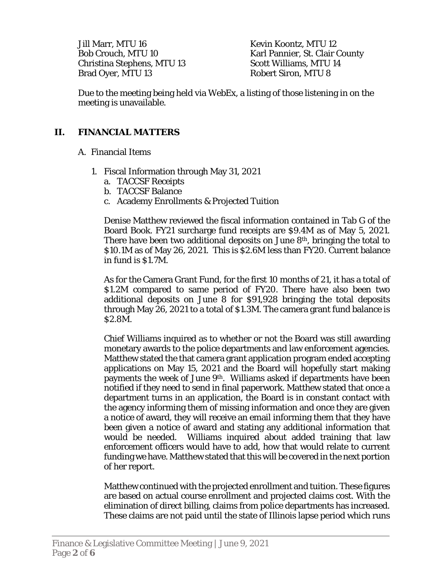Jill Marr, MTU 16 Bob Crouch, MTU 10 Christina Stephens, MTU 13 Brad Oyer, MTU 13

Kevin Koontz, MTU 12 Karl Pannier, St. Clair County Scott Williams, MTU 14 Robert Siron, MTU 8

Due to the meeting being held via WebEx, a listing of those listening in on the meeting is unavailable.

# **II. FINANCIAL MATTERS**

- A. Financial Items
	- 1. Fiscal Information through May 31, 2021
		- a. TACCSF Receipts
		- b. TACCSF Balance
		- c. Academy Enrollments & Projected Tuition

Denise Matthew reviewed the fiscal information contained in Tab G of the Board Book. FY21 surcharge fund receipts are \$9.4M as of May 5, 2021. There have been two additional deposits on June 8th, bringing the total to \$10.1M as of May 26, 2021. This is \$2.6M less than FY20. Current balance in fund is \$1.7M.

As for the Camera Grant Fund, for the first 10 months of 21, it has a total of \$1.2M compared to same period of FY20. There have also been two additional deposits on June 8 for \$91,928 bringing the total deposits through May 26, 2021 to a total of \$1.3M. The camera grant fund balance is \$2.8M.

Chief Williams inquired as to whether or not the Board was still awarding monetary awards to the police departments and law enforcement agencies. Matthew stated the that camera grant application program ended accepting applications on May 15, 2021 and the Board will hopefully start making payments the week of June 9th. Williams asked if departments have been notified if they need to send in final paperwork. Matthew stated that once a department turns in an application, the Board is in constant contact with the agency informing them of missing information and once they are given a notice of award, they will receive an email informing them that they have been given a notice of award and stating any additional information that would be needed. Williams inquired about added training that law enforcement officers would have to add, how that would relate to current funding we have. Matthew stated that this will be covered in the next portion of her report.

Matthew continued with the projected enrollment and tuition. These figures are based on actual course enrollment and projected claims cost. With the elimination of direct billing, claims from police departments has increased. These claims are not paid until the state of Illinois lapse period which runs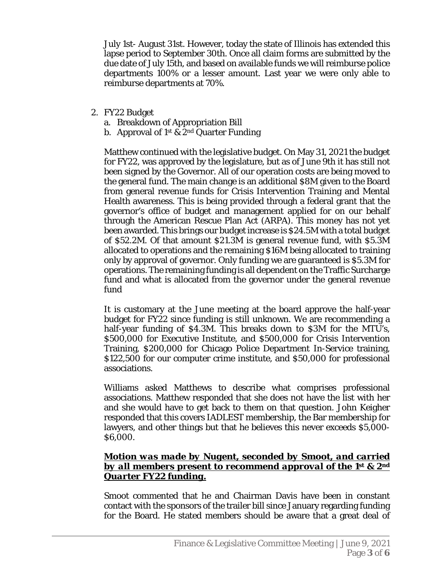July 1st- August 31st. However, today the state of Illinois has extended this lapse period to September 30th. Once all claim forms are submitted by the due date of July 15th, and based on available funds we will reimburse police departments 100% or a lesser amount. Last year we were only able to reimburse departments at 70%.

- 2. FY22 Budget
	- a. Breakdown of Appropriation Bill
	- b. Approval of 1st & 2nd Quarter Funding

Matthew continued with the legislative budget. On May 31, 2021 the budget for FY22, was approved by the legislature, but as of June 9th it has still not been signed by the Governor. All of our operation costs are being moved to the general fund. The main change is an additional \$8M given to the Board from general revenue funds for Crisis Intervention Training and Mental Health awareness. This is being provided through a federal grant that the governor's office of budget and management applied for on our behalf through the American Rescue Plan Act (ARPA). This money has not yet been awarded. This brings our budget increase is \$24.5M with a total budget of \$52.2M. Of that amount \$21.3M is general revenue fund, with \$5.3M allocated to operations and the remaining \$16M being allocated to training only by approval of governor. Only funding we are guaranteed is \$5.3M for operations. The remaining funding is all dependent on the Traffic Surcharge fund and what is allocated from the governor under the general revenue fund

It is customary at the June meeting at the board approve the half-year budget for FY22 since funding is still unknown. We are recommending a half-year funding of \$4.3M. This breaks down to \$3M for the MTU's, \$500,000 for Executive Institute, and \$500,000 for Crisis Intervention Training, \$200,000 for Chicago Police Department In-Service training, \$122,500 for our computer crime institute, and \$50,000 for professional associations.

Williams asked Matthews to describe what comprises professional associations. Matthew responded that she does not have the list with her and she would have to get back to them on that question. John Keigher responded that this covers IADLEST membership, the Bar membership for lawyers, and other things but that he believes this never exceeds \$5,000- \$6,000.

### *Motion was made by Nugent, seconded by Smoot, and carried by all members present to recommend approval of the 1st & 2nd Quarter FY22 funding.*

Smoot commented that he and Chairman Davis have been in constant contact with the sponsors of the trailer bill since January regarding funding for the Board. He stated members should be aware that a great deal of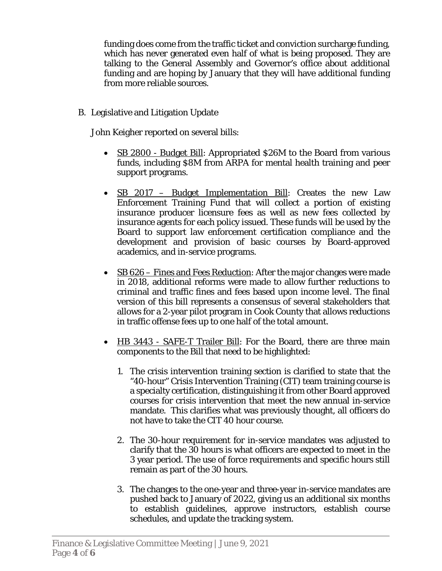funding does come from the traffic ticket and conviction surcharge funding, which has never generated even half of what is being proposed. They are talking to the General Assembly and Governor's office about additional funding and are hoping by January that they will have additional funding from more reliable sources.

B. Legislative and Litigation Update

John Keigher reported on several bills:

- SB 2800 Budget Bill: Appropriated \$26M to the Board from various funds, including \$8M from ARPA for mental health training and peer support programs.
- SB 2017 Budget Implementation Bill: Creates the new Law Enforcement Training Fund that will collect a portion of existing insurance producer licensure fees as well as new fees collected by insurance agents for each policy issued. These funds will be used by the Board to support law enforcement certification compliance and the development and provision of basic courses by Board-approved academics, and in-service programs.
- $\bullet$  SB 626 Fines and Fees Reduction: After the major changes were made in 2018, additional reforms were made to allow further reductions to criminal and traffic fines and fees based upon income level. The final version of this bill represents a consensus of several stakeholders that allows for a 2-year pilot program in Cook County that allows reductions in traffic offense fees up to one half of the total amount.
- HB 3443 SAFE-T Trailer Bill: For the Board, there are three main components to the Bill that need to be highlighted:
	- 1. The crisis intervention training section is clarified to state that the "40-hour" Crisis Intervention Training (CIT) team training course is a specialty certification, distinguishing it from other Board approved courses for crisis intervention that meet the new annual in-service mandate. This clarifies what was previously thought, all officers do not have to take the CIT 40 hour course.
	- 2. The 30-hour requirement for in-service mandates was adjusted to clarify that the 30 hours is what officers are expected to meet in the 3 year period. The use of force requirements and specific hours still remain as part of the 30 hours.
	- 3. The changes to the one-year and three-year in-service mandates are pushed back to January of 2022, giving us an additional six months to establish guidelines, approve instructors, establish course schedules, and update the tracking system.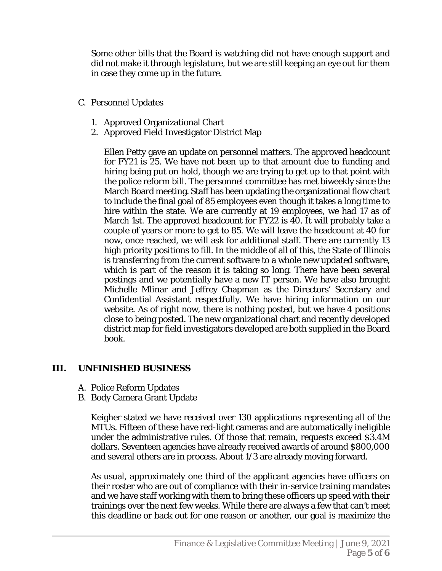Some other bills that the Board is watching did not have enough support and did not make it through legislature, but we are still keeping an eye out for them in case they come up in the future.

- C. Personnel Updates
	- 1. Approved Organizational Chart
	- 2. Approved Field Investigator District Map

Ellen Petty gave an update on personnel matters. The approved headcount for FY21 is 25. We have not been up to that amount due to funding and hiring being put on hold, though we are trying to get up to that point with the police reform bill. The personnel committee has met biweekly since the March Board meeting. Staff has been updating the organizational flow chart to include the final goal of 85 employees even though it takes a long time to hire within the state. We are currently at 19 employees, we had 17 as of March 1st. The approved headcount for FY22 is 40. It will probably take a couple of years or more to get to 85. We will leave the headcount at 40 for now, once reached, we will ask for additional staff. There are currently 13 high priority positions to fill. In the middle of all of this, the State of Illinois is transferring from the current software to a whole new updated software, which is part of the reason it is taking so long. There have been several postings and we potentially have a new IT person. We have also brought Michelle Mlinar and Jeffrey Chapman as the Directors' Secretary and Confidential Assistant respectfully. We have hiring information on our website. As of right now, there is nothing posted, but we have 4 positions close to being posted. The new organizational chart and recently developed district map for field investigators developed are both supplied in the Board book.

## **III. UNFINISHED BUSINESS**

- A. Police Reform Updates
- B. Body Camera Grant Update

Keigher stated we have received over 130 applications representing all of the MTUs. Fifteen of these have red-light cameras and are automatically ineligible under the administrative rules. Of those that remain, requests exceed \$3.4M dollars. Seventeen agencies have already received awards of around \$800,000 and several others are in process. About 1/3 are already moving forward.

As usual, approximately one third of the applicant agencies have officers on their roster who are out of compliance with their in-service training mandates and we have staff working with them to bring these officers up speed with their trainings over the next few weeks. While there are always a few that can't meet this deadline or back out for one reason or another, our goal is maximize the